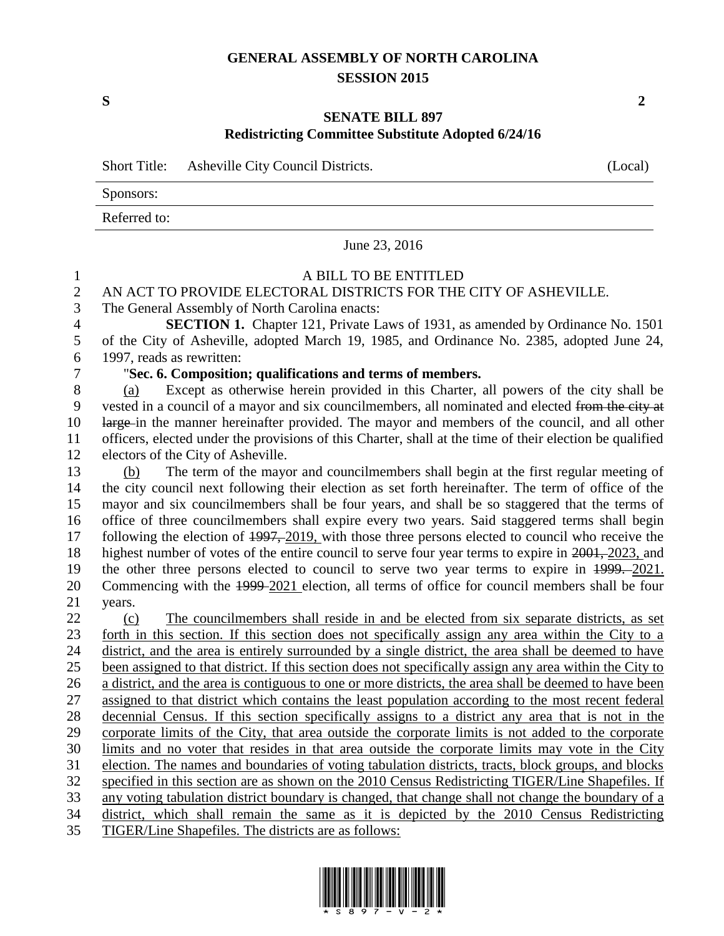## **GENERAL ASSEMBLY OF NORTH CAROLINA SESSION 2015**

**S 2**

### **SENATE BILL 897 Redistricting Committee Substitute Adopted 6/24/16**

Short Title: Asheville City Council Districts. (Local)

Sponsors:

Referred to:

June 23, 2016

## A BILL TO BE ENTITLED

## AN ACT TO PROVIDE ELECTORAL DISTRICTS FOR THE CITY OF ASHEVILLE.

## The General Assembly of North Carolina enacts:

 **SECTION 1.** Chapter 121, Private Laws of 1931, as amended by Ordinance No. 1501 of the City of Asheville, adopted March 19, 1985, and Ordinance No. 2385, adopted June 24, 1997, reads as rewritten:

### "**Sec. 6. Composition; qualifications and terms of members.**

 (a) Except as otherwise herein provided in this Charter, all powers of the city shall be vested in a council of a mayor and six councilmembers, all nominated and elected from the city at large in the manner hereinafter provided. The mayor and members of the council, and all other officers, elected under the provisions of this Charter, shall at the time of their election be qualified electors of the City of Asheville.

 (b) The term of the mayor and councilmembers shall begin at the first regular meeting of the city council next following their election as set forth hereinafter. The term of office of the mayor and six councilmembers shall be four years, and shall be so staggered that the terms of office of three councilmembers shall expire every two years. Said staggered terms shall begin 17 following the election of  $\frac{1997,2019}{201}$ , with those three persons elected to council who receive the highest number of votes of the entire council to serve four year terms to expire in 2001, 2023, and the other three persons elected to council to serve two year terms to expire in 1999. 2021. Commencing with the 1999 2021 election, all terms of office for council members shall be four years.

 (c) The councilmembers shall reside in and be elected from six separate districts, as set forth in this section. If this section does not specifically assign any area within the City to a district, and the area is entirely surrounded by a single district, the area shall be deemed to have been assigned to that district. If this section does not specifically assign any area within the City to a district, and the area is contiguous to one or more districts, the area shall be deemed to have been assigned to that district which contains the least population according to the most recent federal decennial Census. If this section specifically assigns to a district any area that is not in the corporate limits of the City, that area outside the corporate limits is not added to the corporate limits and no voter that resides in that area outside the corporate limits may vote in the City election. The names and boundaries of voting tabulation districts, tracts, block groups, and blocks specified in this section are as shown on the 2010 Census Redistricting TIGER/Line Shapefiles. If any voting tabulation district boundary is changed, that change shall not change the boundary of a district, which shall remain the same as it is depicted by the 2010 Census Redistricting

TIGER/Line Shapefiles. The districts are as follows:

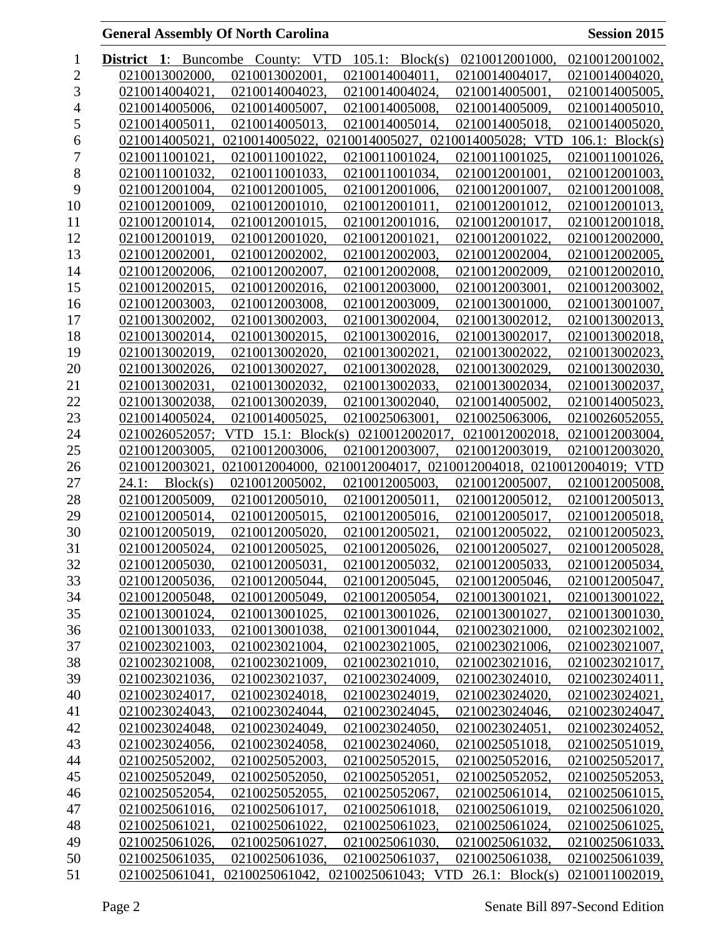| 1              | $\mathbf{1}$ :<br><b>District</b> |                |     | Buncombe County: VTD |                | $105.1$ : Block(s) | 0210012001000,                    | 0210012001002,                                   |
|----------------|-----------------------------------|----------------|-----|----------------------|----------------|--------------------|-----------------------------------|--------------------------------------------------|
| $\overline{2}$ | 0210013002000.                    |                |     | 0210013002001        | 0210014004011  |                    | 0210014004017,                    | 0210014004020,                                   |
| 3              | 0210014004021                     |                |     | 0210014004023.       | 0210014004024  |                    | 0210014005001.                    | 0210014005005,                                   |
| 4              |                                   | 0210014005006. |     | 0210014005007.       | 0210014005008. |                    | 0210014005009,                    | 0210014005010,                                   |
| 5              |                                   | 0210014005011. |     | 0210014005013.       | 0210014005014. |                    | 0210014005018,                    | 0210014005020,                                   |
| 6              | 0210014005021                     |                |     | 0210014005022,       |                |                    | 0210014005027, 0210014005028; VTD | $106.1$ : Block(s)                               |
| 7              | 0210011001021                     |                |     | 0210011001022        | 0210011001024. |                    | 0210011001025.                    | 0210011001026,                                   |
| 8              |                                   | 0210011001032. |     | 0210011001033.       | 0210011001034. |                    | 0210012001001.                    | 0210012001003,                                   |
| 9              |                                   | 0210012001004. |     | 0210012001005.       | 0210012001006. |                    | 0210012001007.                    | 0210012001008,                                   |
| 10             |                                   | 0210012001009, |     | 0210012001010,       | 0210012001011, |                    | 0210012001012,                    | 0210012001013,                                   |
| 11             |                                   | 0210012001014, |     | 0210012001015,       | 0210012001016. |                    | 0210012001017.                    | 0210012001018,                                   |
| 12             |                                   | 0210012001019, |     | 0210012001020,       | 0210012001021. |                    | 0210012001022.                    | 0210012002000,                                   |
| 13             | 0210012002001.                    |                |     | 0210012002002.       | 0210012002003. |                    | 0210012002004.                    | 0210012002005,                                   |
| 14             |                                   | 0210012002006. |     | 0210012002007,       | 0210012002008. |                    | 0210012002009,                    | 0210012002010,                                   |
| 15             |                                   | 0210012002015, |     | 0210012002016,       | 0210012003000. |                    | 0210012003001,                    | 0210012003002,                                   |
| 16             |                                   | 0210012003003, |     | 0210012003008,       | 0210012003009, |                    | 0210013001000.                    | 0210013001007,                                   |
| 17             | 0210013002002.                    |                |     | 0210013002003.       | 0210013002004. |                    | 0210013002012.                    | 0210013002013.                                   |
| 18             |                                   | 0210013002014, |     | 0210013002015,       | 0210013002016. |                    | 0210013002017.                    | 0210013002018,                                   |
| 19             |                                   | 0210013002019, |     | 0210013002020.       | 0210013002021  |                    | 0210013002022,                    | 0210013002023,                                   |
| 20             |                                   | 0210013002026, |     | 0210013002027,       | 0210013002028. |                    | 0210013002029,                    | 0210013002030,                                   |
| 21             | 0210013002031                     |                |     | 0210013002032.       | 0210013002033, |                    | 0210013002034,                    | 0210013002037,                                   |
| 22             |                                   | 0210013002038. |     | 0210013002039.       | 0210013002040. |                    | 0210014005002.                    | 0210014005023,                                   |
| 23             | 0210014005024.                    |                |     | 0210014005025        | 0210025063001  |                    | 0210025063006,                    | 0210026052055,                                   |
| 24             |                                   | 0210026052057; | VTD | 15.1: $Block(s)$     |                | 0210012002017.     | 0210012002018                     | 0210012003004,                                   |
| 25             |                                   | 0210012003005. |     | 0210012003006.       | 0210012003007. |                    | 0210012003019.                    | 0210012003020,                                   |
| 26             | 0210012003021                     |                |     | 0210012004000,       |                |                    |                                   | 0210012004017, 0210012004018, 0210012004019; VTD |
| 27             | 24.1:                             | Block(s)       |     | 0210012005002.       | 0210012005003. |                    | 0210012005007,                    | 0210012005008,                                   |
| 28             | 0210012005009.                    |                |     | 0210012005010.       | 0210012005011  |                    | 0210012005012.                    | 0210012005013,                                   |
| 29             |                                   | 0210012005014. |     | 0210012005015        | 0210012005016. |                    | 0210012005017.                    | 0210012005018.                                   |
| 30             |                                   | 0210012005019, |     | 0210012005020,       | 0210012005021. |                    | 0210012005022,                    | 0210012005023,                                   |
| 31             |                                   | 0210012005024, |     | 0210012005025.       | 0210012005026. |                    | 0210012005027,                    | 0210012005028,                                   |
| 32             |                                   | 0210012005030. |     | 0210012005031        | 0210012005032. |                    | 0210012005033.                    | 0210012005034.                                   |
| 33             |                                   | 0210012005036, |     | 0210012005044,       | 0210012005045. |                    | 0210012005046,                    | 0210012005047,                                   |
| 34             |                                   | 0210012005048. |     | 0210012005049,       | 0210012005054, |                    | 0210013001021,                    | 0210013001022,                                   |
| 35             |                                   | 0210013001024, |     | 0210013001025,       | 0210013001026, |                    | 0210013001027,                    | 0210013001030,                                   |
| 36             |                                   | 0210013001033, |     | 0210013001038,       | 0210013001044, |                    | 0210023021000,                    | 0210023021002,                                   |
| 37             |                                   | 0210023021003, |     | 0210023021004,       | 0210023021005, |                    | 0210023021006,                    | 0210023021007,                                   |
| 38             |                                   | 0210023021008, |     | 0210023021009,       | 0210023021010. |                    | 0210023021016,                    | 0210023021017,                                   |
| 39             |                                   | 0210023021036, |     | 0210023021037,       | 0210023024009, |                    | 0210023024010,                    | 0210023024011,                                   |
| 40             |                                   | 0210023024017, |     | 0210023024018,       | 0210023024019, |                    | 0210023024020,                    | 0210023024021,                                   |
| 41             |                                   | 0210023024043, |     | 0210023024044,       | 0210023024045, |                    | 0210023024046,                    | 0210023024047,                                   |
| 42             |                                   | 0210023024048, |     | 0210023024049,       | 0210023024050, |                    | 0210023024051,                    | 0210023024052,                                   |
| 43             |                                   | 0210023024056, |     | 0210023024058,       | 0210023024060, |                    | 0210025051018,                    | 0210025051019,                                   |
| 44             |                                   | 0210025052002, |     | 0210025052003,       | 0210025052015, |                    | 0210025052016,                    | 0210025052017,                                   |
| 45             |                                   | 0210025052049, |     | 0210025052050,       | 0210025052051, |                    | 0210025052052,                    | 0210025052053,                                   |
| 46             |                                   | 0210025052054, |     | 0210025052055,       | 0210025052067, |                    | 0210025061014,                    | 0210025061015,                                   |
| 47             |                                   | 0210025061016, |     | 0210025061017,       | 0210025061018, |                    | 0210025061019,                    | 0210025061020,                                   |
| 48             |                                   | 0210025061021, |     | 0210025061022,       | 0210025061023, |                    | 0210025061024,                    | 0210025061025,                                   |
| 49             |                                   | 0210025061026, |     | 0210025061027,       | 0210025061030, |                    | 0210025061032,                    | 0210025061033,                                   |
| 50             |                                   | 0210025061035, |     | 0210025061036,       | 0210025061037, |                    | 0210025061038,                    | 0210025061039,                                   |
| 51             |                                   | 0210025061041. |     | 0210025061042,       |                |                    | 0210025061043; VTD 26.1: Block(s) | 0210011002019,                                   |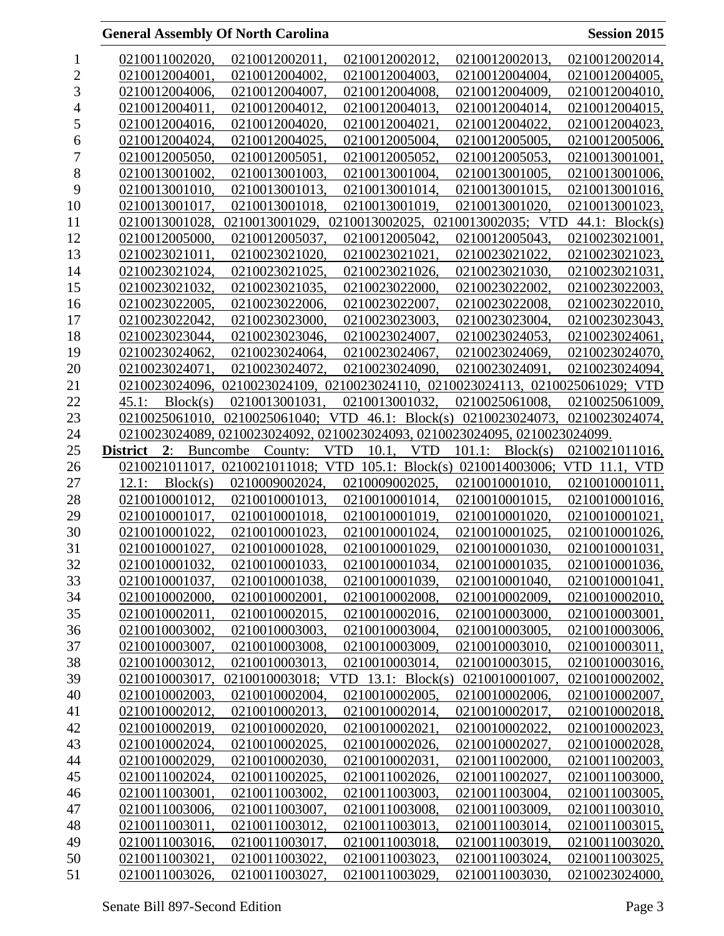| 1              | 0210011002020,                   | 0210012002011,                    | 0210012002012,                                                                 | 0210012002013,                   | 0210012002014,                   |
|----------------|----------------------------------|-----------------------------------|--------------------------------------------------------------------------------|----------------------------------|----------------------------------|
| $\overline{c}$ | 0210012004001.                   | 0210012004002.                    | 0210012004003.                                                                 | 0210012004004,                   | 0210012004005.                   |
| 3              | 0210012004006.                   | 0210012004007.                    | 0210012004008.                                                                 | 0210012004009,                   | 0210012004010.                   |
| 4              | 0210012004011.                   | 0210012004012,                    | 0210012004013.                                                                 | 0210012004014,                   | 0210012004015,                   |
| 5              | 0210012004016.                   | 0210012004020,                    | 0210012004021.                                                                 | 0210012004022,                   | 0210012004023,                   |
| 6              | 0210012004024,                   | 0210012004025,                    | 0210012005004,                                                                 | 0210012005005,                   | 0210012005006,                   |
| $\overline{7}$ | 0210012005050,                   | 0210012005051.                    | 0210012005052,                                                                 | 0210012005053.                   | 0210013001001,                   |
| 8              | 0210013001002.                   | 0210013001003.                    | 0210013001004,                                                                 | 0210013001005.                   | 0210013001006,                   |
| 9              | 0210013001010.                   | 0210013001013,                    | 0210013001014,                                                                 | 0210013001015,                   | 0210013001016,                   |
| 10             | 0210013001017,                   | 0210013001018,                    | 0210013001019,                                                                 | 0210013001020,                   | 0210013001023,                   |
| 11             | 0210013001028,                   | 0210013001029,                    | 0210013002025,                                                                 | 0210013002035; VTD               | 44.1: $Block(s)$                 |
| 12             | 0210012005000.                   | 0210012005037,                    | 0210012005042.                                                                 | 0210012005043.                   | 0210023021001,                   |
| 13             | 0210023021011.                   | 0210023021020,                    | 0210023021021,                                                                 | 0210023021022,                   | 0210023021023,                   |
| 14             | 0210023021024,                   | 0210023021025,                    | 0210023021026,                                                                 | 0210023021030,                   | 0210023021031,                   |
| 15             | 0210023021032,                   | 0210023021035,                    | 0210023022000,                                                                 | 0210023022002.                   | 0210023022003,                   |
| 16             | 0210023022005.                   | 0210023022006,                    | 0210023022007,                                                                 | 0210023022008,                   | 0210023022010,                   |
| 17             | 0210023022042,                   | 0210023023000,                    | 0210023023003.                                                                 | 0210023023004,                   | 0210023023043,                   |
| 18             | 0210023023044.                   | 0210023023046,                    | 0210023024007,                                                                 | 0210023024053,                   | 0210023024061,                   |
| 19             | 0210023024062.                   | 0210023024064,                    | 0210023024067.                                                                 | 0210023024069.                   | 0210023024070,                   |
| 20             | 0210023024071.                   | 0210023024072,                    | 0210023024090.                                                                 | 0210023024091,                   | 0210023024094,                   |
| 21             |                                  |                                   | 0210023024096, 0210023024109, 0210023024110, 0210023024113, 0210025061029; VTD |                                  |                                  |
| 22             | 45.1:<br>Block(s)                | 0210013001031,                    | 0210013001032.                                                                 | 0210025061008,                   | 0210025061009,                   |
| 23             | 0210025061010.                   | 0210025061040; VTD                |                                                                                | 46.1: Block(s) 0210023024073,    | 0210023024074,                   |
| 24             |                                  |                                   | 0210023024089, 0210023024092, 0210023024093, 0210023024095, 0210023024099.     |                                  |                                  |
| 25             | <b>District</b><br>2:            | Buncombe<br>County:               | <b>VTD</b><br>10.1,<br><b>VTD</b>                                              | 101.1:<br>Block(s)               | 0210021011016,                   |
| 26             |                                  | 0210021011017, 0210021011018; VTD | 105.1: $Block(s)$                                                              | 0210014003006;                   | VTD 11.1, VTD                    |
| 27             | Block(s)<br>12.1:                | 0210009002024.                    | 0210009002025.                                                                 | 0210010001010,                   | 0210010001011,                   |
| 28             | 0210010001012.                   | 0210010001013.                    | 0210010001014,                                                                 | 0210010001015,                   | 0210010001016,                   |
| 29             | 0210010001017,                   | 0210010001018.                    | 0210010001019,                                                                 | 0210010001020,                   | 0210010001021,                   |
| 30             | 0210010001022,                   | 0210010001023,                    | 0210010001024,                                                                 | 0210010001025,                   | 0210010001026,                   |
| 31             | 0210010001027,                   | 0210010001028,                    | 0210010001029,                                                                 | 0210010001030,                   | 0210010001031,                   |
| 32             | 0210010001032.                   | 0210010001033.                    | 0210010001034                                                                  | 0210010001035.                   | 0210010001036.                   |
| 33             | 0210010001037,                   | 0210010001038,                    | 0210010001039,                                                                 | 0210010001040,                   | 0210010001041,                   |
| 34             | 0210010002000.                   | 0210010002001,                    | 0210010002008.                                                                 | 0210010002009,                   | 0210010002010,                   |
| 35             | 0210010002011,                   | 0210010002015,                    | 0210010002016,                                                                 | 0210010003000,                   | 0210010003001,                   |
| 36             | 0210010003002,                   | 0210010003003,                    | 0210010003004,                                                                 | 0210010003005,                   | 0210010003006,                   |
| 37             | 0210010003007,                   | 0210010003008.                    | 0210010003009,                                                                 | 0210010003010.                   | 0210010003011,                   |
| 38             | 0210010003012,                   | 0210010003013,                    | 0210010003014,                                                                 | 0210010003015,                   | 0210010003016,                   |
| 39             | 0210010003017,                   |                                   | 0210010003018; VTD 13.1: Block(s) 0210010001007,                               |                                  | 0210010002002,                   |
| 40             | 0210010002003,                   | 0210010002004,                    | 0210010002005,                                                                 | 0210010002006,                   | 0210010002007,                   |
| 41             | 0210010002012,                   | 0210010002013,                    | 0210010002014,                                                                 | 0210010002017,                   | 0210010002018,                   |
| 42             | 0210010002019,                   | 0210010002020,                    | 0210010002021,                                                                 | 0210010002022,                   | 0210010002023,                   |
| 43             | 0210010002024,                   | 0210010002025,                    | 0210010002026,                                                                 | 0210010002027,                   | 0210010002028,                   |
| 44             | 0210010002029,                   | 0210010002030,                    | 0210010002031.                                                                 | 0210011002000,                   | 0210011002003,                   |
| 45             | 0210011002024,                   | 0210011002025,                    | 0210011002026,                                                                 | 0210011002027,                   | 0210011003000,                   |
| 46             | 0210011003001,                   | 0210011003002,                    | 0210011003003,                                                                 | 0210011003004,                   | 0210011003005,                   |
| 47             | 0210011003006,                   | 0210011003007,                    | 0210011003008,                                                                 | 0210011003009,                   | 0210011003010,                   |
| 48             | 0210011003011,                   | 0210011003012,                    | 0210011003013,                                                                 | 0210011003014,                   | 0210011003015,                   |
| 49             | 0210011003016,                   | 0210011003017,                    | 0210011003018.                                                                 | 0210011003019.                   | 0210011003020,                   |
| 50<br>51       | 0210011003021,<br>0210011003026, | 0210011003022,<br>0210011003027,  | 0210011003023,<br>0210011003029,                                               | 0210011003024,<br>0210011003030, | 0210011003025,<br>0210023024000, |
|                |                                  |                                   |                                                                                |                                  |                                  |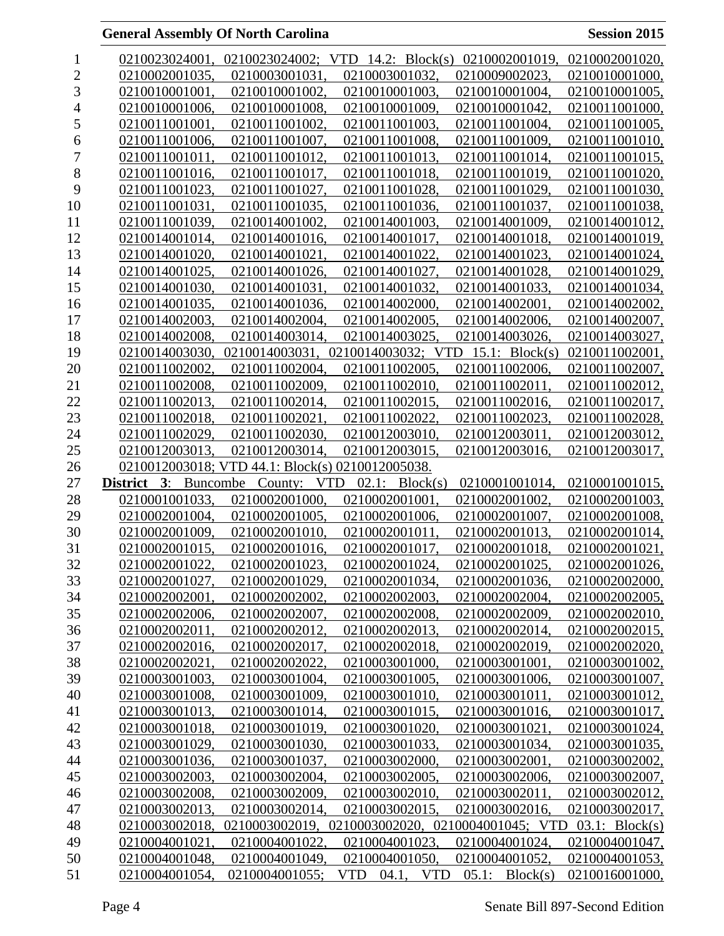| 1              | 0210023024001,                    |                                                  | 0210023024002; VTD 14.2: Block(s) 0210002001019, 0210002001020, |                   |                |
|----------------|-----------------------------------|--------------------------------------------------|-----------------------------------------------------------------|-------------------|----------------|
| $\overline{2}$ | 0210002001035.                    | 0210003001031                                    | 0210003001032.                                                  | 0210009002023.    | 0210010001000, |
| 3              | 0210010001001                     | 0210010001002.                                   | 0210010001003.                                                  | 0210010001004,    | 0210010001005, |
| 4              | 0210010001006.                    | 0210010001008,                                   | 0210010001009,                                                  | 0210010001042,    | 0210011001000, |
| 5              | 0210011001001,                    | 0210011001002,                                   | 0210011001003.                                                  | 0210011001004,    | 0210011001005, |
| 6              | 0210011001006,                    | 0210011001007,                                   | 0210011001008,                                                  | 0210011001009,    | 0210011001010, |
| $\overline{7}$ | 0210011001011                     | 0210011001012.                                   | 0210011001013.                                                  | 0210011001014,    | 0210011001015, |
| 8              | 0210011001016.                    | 0210011001017.                                   | 0210011001018.                                                  | 0210011001019,    | 0210011001020. |
| 9              | 0210011001023,                    | 0210011001027,                                   | 0210011001028,                                                  | 0210011001029,    | 0210011001030, |
| 10             | 0210011001031                     | 0210011001035,                                   | 0210011001036,                                                  | 0210011001037,    | 0210011001038, |
| 11             | 0210011001039,                    | 0210014001002.                                   | 0210014001003,                                                  | 0210014001009,    | 0210014001012, |
| 12             | 0210014001014.                    | 0210014001016.                                   | 0210014001017,                                                  | 0210014001018,    | 0210014001019, |
| 13             | 0210014001020.                    | 0210014001021.                                   | 0210014001022                                                   | 0210014001023,    | 0210014001024, |
| 14             | 0210014001025.                    | 0210014001026,                                   | 0210014001027,                                                  | 0210014001028,    | 0210014001029, |
| 15             | 0210014001030.                    | 0210014001031.                                   | 0210014001032,                                                  | 0210014001033,    | 0210014001034, |
| 16             | 0210014001035,                    | 0210014001036,                                   | 0210014002000,                                                  | 0210014002001     | 0210014002002, |
| 17             | 0210014002003                     | 0210014002004.                                   | 0210014002005.                                                  | 0210014002006.    | 0210014002007, |
| 18             | 0210014002008.                    | 0210014003014,                                   | 0210014003025.                                                  | 0210014003026,    | 0210014003027, |
| 19             | 0210014003030.                    | 0210014003031                                    | 0210014003032; VTD                                              | $15.1$ : Block(s) | 0210011002001, |
| 20             | 0210011002002.                    | 0210011002004,                                   | 0210011002005.                                                  | 0210011002006,    | 0210011002007, |
| 21             | 0210011002008.                    | 0210011002009.                                   | 0210011002010.                                                  | 0210011002011     | 0210011002012, |
| 22             | 0210011002013.                    | 0210011002014,                                   | 0210011002015.                                                  | 0210011002016,    | 0210011002017, |
| 23             | 0210011002018.                    | 0210011002021                                    | 0210011002022                                                   | 0210011002023,    | 0210011002028, |
| 24             | 0210011002029.                    | 0210011002030.                                   | 0210012003010.                                                  | 0210012003011,    | 0210012003012, |
| 25             | 0210012003013,                    | 0210012003014,                                   | 0210012003015,                                                  | 0210012003016,    | 0210012003017, |
| 26             |                                   | 0210012003018; VTD 44.1: Block(s) 0210012005038. |                                                                 |                   |                |
| 27             | 3:<br>Buncombe<br><b>District</b> | County:                                          | $02.1$ : Block(s)<br><b>VTD</b>                                 | 0210001001014,    | 0210001001015, |
| 28             | 0210001001033.                    | 0210002001000.                                   | 0210002001001                                                   | 0210002001002     | 0210002001003. |
| 29             | 0210002001004,                    | 0210002001005,                                   | 0210002001006,                                                  | 0210002001007,    | 0210002001008, |
| 30             | 0210002001009,                    | 0210002001010,                                   | 0210002001011,                                                  | 0210002001013,    | 0210002001014, |
| 31             | 0210002001015.                    | 0210002001016.                                   | 0210002001017.                                                  | 0210002001018,    | 0210002001021. |
| 32             | 0210002001022                     | 0210002001023.                                   | 0210002001024                                                   | 0210002001025     | 0210002001026, |
| 33             | 0210002001027.                    | 0210002001029,                                   | 0210002001034,                                                  | 0210002001036,    | 0210002002000, |
| 34             | 0210002002001,                    | 0210002002002.                                   | 0210002002003,                                                  | 0210002002004,    | 0210002002005, |
| 35             | 0210002002006,                    | 0210002002007,                                   | 0210002002008,                                                  | 0210002002009,    | 0210002002010, |
| 36             | 0210002002011,                    | 0210002002012,                                   | 0210002002013,                                                  | 0210002002014,    | 0210002002015, |
| 37             | 0210002002016,                    | 0210002002017,                                   | 0210002002018,                                                  | 0210002002019,    | 0210002002020, |
| 38             | 0210002002021.                    | 0210002002022,                                   | 0210003001000.                                                  | 0210003001001,    | 0210003001002, |
| 39             | 0210003001003,                    | 0210003001004,                                   | 0210003001005,                                                  | 0210003001006,    | 0210003001007, |
| 40             | 0210003001008,                    | 0210003001009,                                   | 0210003001010,                                                  | 0210003001011,    | 0210003001012, |
| 41             | 0210003001013.                    | 0210003001014,                                   | 0210003001015.                                                  | 0210003001016.    | 0210003001017, |
| 42             | 0210003001018,                    | 0210003001019,                                   | 0210003001020,                                                  | 0210003001021,    | 0210003001024, |
| 43             | 0210003001029,                    | 0210003001030,                                   | 0210003001033,                                                  | 0210003001034,    | 0210003001035, |
| 44             | 0210003001036,                    | 0210003001037,                                   | 0210003002000,                                                  | 0210003002001,    | 0210003002002, |
| 45             | 0210003002003,                    | 0210003002004,                                   | 0210003002005,                                                  | 0210003002006,    | 0210003002007, |
| 46             | 0210003002008,                    | 0210003002009,                                   | 0210003002010,                                                  | 0210003002011,    | 0210003002012, |
| 47             | 0210003002013,                    | 0210003002014,                                   | 0210003002015,                                                  | 0210003002016,    | 0210003002017, |
| 48             | 0210003002018,                    |                                                  | 0210003002019, 0210003002020, 0210004001045; VTD                |                   | 03.1: Block(s) |
| 49             | 0210004001021,                    | 0210004001022,                                   | 0210004001023,                                                  | 0210004001024,    | 0210004001047, |
| 50             | 0210004001048,                    | 0210004001049,                                   | 0210004001050,                                                  | 0210004001052,    | 0210004001053, |
| 51             | 0210004001054,                    | 0210004001055;                                   | <b>VTD</b><br>04.1, VTD                                         | 05.1:<br>Block(s) | 0210016001000, |
|                |                                   |                                                  |                                                                 |                   |                |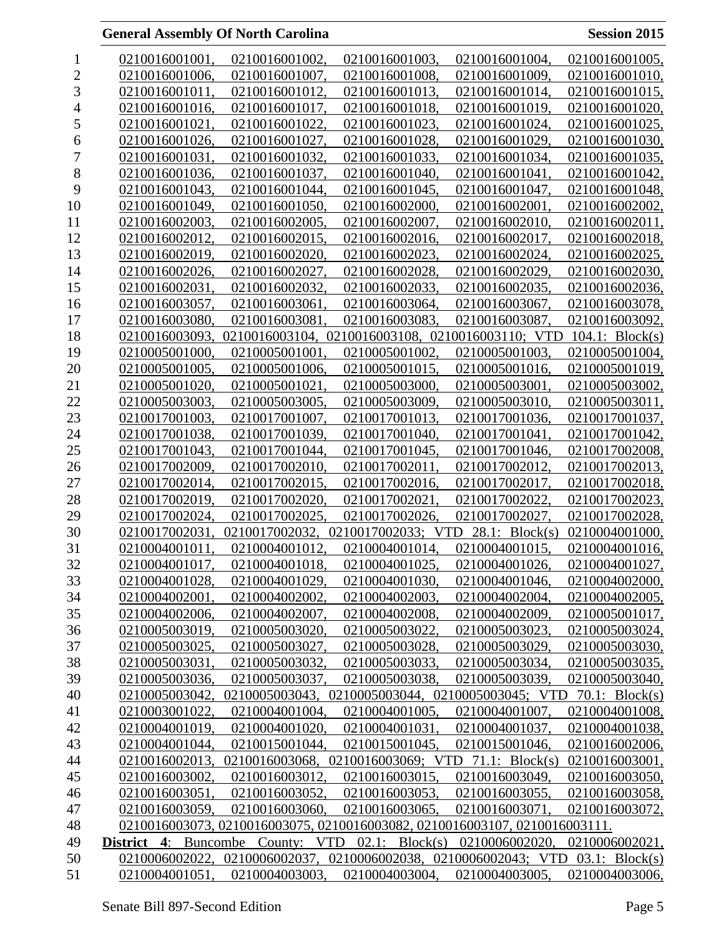| 1              | 0210016001001,                          | 0210016001002, | 0210016001003,                                                             | 0210016001004,    | 0210016001005,     |
|----------------|-----------------------------------------|----------------|----------------------------------------------------------------------------|-------------------|--------------------|
| $\overline{c}$ | 0210016001006.                          | 0210016001007. | 0210016001008.                                                             | 0210016001009,    | 0210016001010,     |
| 3              | 0210016001011.                          | 0210016001012, | 0210016001013,                                                             | 0210016001014,    | 0210016001015,     |
| 4              | 0210016001016,                          | 0210016001017, | 0210016001018,                                                             | 0210016001019,    | 0210016001020,     |
| 5              | 0210016001021,                          | 0210016001022. | 0210016001023,                                                             | 0210016001024,    | 0210016001025,     |
| 6              | 0210016001026.                          | 0210016001027, | 0210016001028,                                                             | 0210016001029.    | 0210016001030,     |
| 7              | 0210016001031.                          | 0210016001032. | 0210016001033,                                                             | 0210016001034,    | 0210016001035,     |
| 8              | 0210016001036,                          | 0210016001037, | 0210016001040,                                                             | 0210016001041.    | 0210016001042,     |
| 9              | 0210016001043.                          | 0210016001044, | 0210016001045,                                                             | 0210016001047,    | 0210016001048,     |
| 10             | 0210016001049,                          | 0210016001050, | 0210016002000,                                                             | 0210016002001,    | 0210016002002,     |
| 11             | 0210016002003,                          | 0210016002005, | 0210016002007.                                                             | 0210016002010.    | 0210016002011,     |
| 12             | 0210016002012,                          | 0210016002015, | 0210016002016,                                                             | 0210016002017,    | 0210016002018,     |
| 13             | 0210016002019,                          | 0210016002020. | 0210016002023,                                                             | 0210016002024,    | 0210016002025,     |
| 14             | 0210016002026,                          | 0210016002027, | 0210016002028,                                                             | 0210016002029,    | 0210016002030,     |
| 15             | 0210016002031,                          | 0210016002032, | 0210016002033,                                                             | 0210016002035.    | 0210016002036,     |
| 16             | 0210016003057,                          | 0210016003061  | 0210016003064.                                                             | 0210016003067.    | 0210016003078,     |
| 17             | 0210016003080,                          | 0210016003081. | 0210016003083.                                                             | 0210016003087.    | 0210016003092,     |
| 18             | 0210016003093,                          |                | 0210016003104, 0210016003108, 0210016003110; VTD                           |                   | $104.1$ : Block(s) |
| 19             | 0210005001000.                          | 0210005001001. | 0210005001002.                                                             | 0210005001003.    | 0210005001004,     |
| 20             | 0210005001005,                          | 0210005001006. | 0210005001015,                                                             | 0210005001016,    | 0210005001019,     |
| 21             | 0210005001020.                          | 0210005001021. | 0210005003000,                                                             | 0210005003001,    | 0210005003002,     |
| 22             | 0210005003003,                          | 0210005003005. | 0210005003009,                                                             | 0210005003010.    | 0210005003011,     |
| 23             | 0210017001003,                          | 0210017001007, | 0210017001013,                                                             | 0210017001036,    | 0210017001037,     |
| 24             | 0210017001038.                          | 0210017001039. | 0210017001040,                                                             | 0210017001041,    | 0210017001042,     |
| 25             | 0210017001043,                          | 0210017001044, | 0210017001045,                                                             | 0210017001046,    | 0210017002008,     |
| 26             | 0210017002009.                          | 0210017002010. | 0210017002011                                                              | 0210017002012,    | 0210017002013,     |
| 27             | 0210017002014,                          | 0210017002015. | 0210017002016.                                                             | 0210017002017,    | 0210017002018,     |
| 28             | 0210017002019,                          | 0210017002020. | 0210017002021                                                              | 0210017002022,    | 0210017002023,     |
| 29             | 0210017002024.                          | 0210017002025  | 0210017002026.                                                             | 0210017002027.    | 0210017002028.     |
| 30             | 0210017002031,                          | 0210017002032, | 0210017002033; VTD                                                         | $28.1$ : Block(s) | 0210004001000,     |
| 31             | 0210004001011.                          | 0210004001012. | 0210004001014.                                                             | 0210004001015,    | 0210004001016,     |
| 32             | 0210004001017.                          | 0210004001018. | 0210004001025.                                                             | 0210004001026.    | 0210004001027,     |
| 33             | 0210004001028,                          | 0210004001029, | 0210004001030,                                                             | 0210004001046,    | 0210004002000,     |
| 34             | 0210004002001.                          | 0210004002002. | 0210004002003.                                                             | 0210004002004.    | 0210004002005,     |
| 35             | 0210004002006,                          | 0210004002007, | 0210004002008,                                                             | 0210004002009,    | 0210005001017,     |
| 36             | 0210005003019,                          | 0210005003020, | 0210005003022,                                                             | 0210005003023,    | 0210005003024,     |
| 37             | 0210005003025,                          | 0210005003027. | 0210005003028.                                                             | 0210005003029,    | 0210005003030,     |
| 38             | 0210005003031,                          | 0210005003032, | 0210005003033.                                                             | 0210005003034,    | 0210005003035,     |
| 39             | 0210005003036,                          | 0210005003037. | 0210005003038.                                                             | 0210005003039,    | 0210005003040,     |
| 40             | 0210005003042,                          | 0210005003043, | 0210005003044, 0210005003045; VTD                                          |                   | 70.1: $Block(s)$   |
| 41             | 0210003001022,                          | 0210004001004, | 0210004001005,                                                             | 0210004001007.    | 0210004001008,     |
| 42             | 0210004001019,                          | 0210004001020, | 0210004001031,                                                             | 0210004001037,    | 0210004001038,     |
| 43             | 0210004001044,                          | 0210015001044, | 0210015001045,                                                             | 0210015001046,    | 0210016002006,     |
| 44             | 0210016002013,                          | 0210016003068, | 0210016003069; VTD                                                         | 71.1: $Block(s)$  | 0210016003001,     |
| 45             | 0210016003002,                          | 0210016003012, | 0210016003015,                                                             | 0210016003049,    | 0210016003050,     |
| 46             | 0210016003051,                          | 0210016003052, | 0210016003053,                                                             | 0210016003055,    | 0210016003058,     |
| 47             | 0210016003059,                          | 0210016003060, | 0210016003065,                                                             | 0210016003071,    | 0210016003072,     |
| 48             |                                         |                | 0210016003073, 0210016003075, 0210016003082, 0210016003107, 0210016003111. |                   |                    |
| 49             | <b>District 4:</b> Buncombe County: VTD |                | $02.1$ : Block(s)                                                          | 0210006002020,    | 0210006002021,     |
| 50             | 0210006002022,                          | 0210006002037, | 0210006002038, 0210006002043; VTD                                          |                   | $03.1$ : Block(s)  |
| 51             | 0210004001051,                          | 0210004003003, | 0210004003004,                                                             | 0210004003005,    | 0210004003006,     |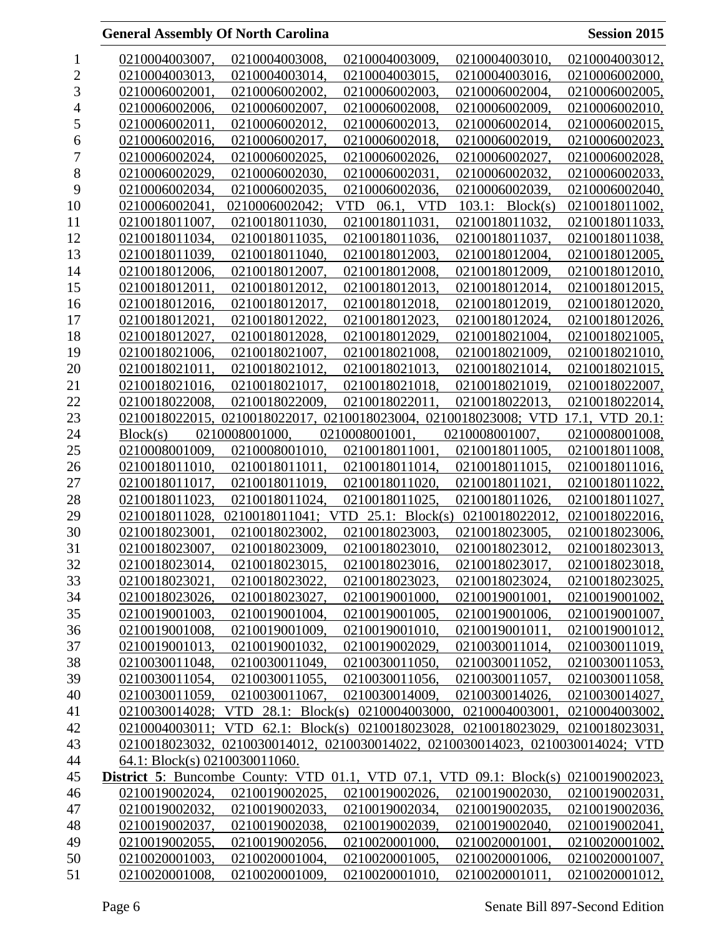| 1              | 0210004003007,                                                             | 0210004003008.     | 0210004003009.                                                                 | 0210004003010,               | 0210004003012,  |
|----------------|----------------------------------------------------------------------------|--------------------|--------------------------------------------------------------------------------|------------------------------|-----------------|
| $\overline{c}$ | 0210004003013,                                                             | 0210004003014,     | 0210004003015,                                                                 | 0210004003016,               | 0210006002000,  |
| 3              | 0210006002001.                                                             | 0210006002002.     | 0210006002003.                                                                 | 0210006002004,               | 0210006002005,  |
| 4              | 0210006002006,                                                             | 0210006002007,     | 0210006002008,                                                                 | 0210006002009,               | 0210006002010,  |
| 5              | 0210006002011,                                                             | 0210006002012.     | 0210006002013.                                                                 | 0210006002014,               | 0210006002015,  |
| 6              | 0210006002016,                                                             | 0210006002017,     | 0210006002018,                                                                 | 0210006002019,               | 0210006002023,  |
| 7              | 0210006002024,                                                             | 0210006002025.     | 0210006002026,                                                                 | 0210006002027,               | 0210006002028,  |
| 8              | 0210006002029,                                                             | 0210006002030.     | 0210006002031,                                                                 | 0210006002032,               | 0210006002033,  |
| 9              | 0210006002034,                                                             | 0210006002035,     | 0210006002036,                                                                 | 0210006002039,               | 0210006002040,  |
| 10             | 0210006002041.                                                             | 0210006002042:     | <b>VTD</b><br>06.1,<br><b>VTD</b>                                              | $103.1$ : Block(s)           | 0210018011002.  |
| 11             | 0210018011007.                                                             | 0210018011030.     | 0210018011031                                                                  | 0210018011032,               | 0210018011033,  |
| 12             | 0210018011034,                                                             | 0210018011035,     | 0210018011036,                                                                 | 0210018011037,               | 0210018011038,  |
| 13             | 0210018011039,                                                             | 0210018011040.     | 0210018012003,                                                                 | 0210018012004,               | 0210018012005,  |
| 14             | 0210018012006,                                                             | 0210018012007,     | 0210018012008,                                                                 | 0210018012009,               | 0210018012010,  |
| 15             | 0210018012011.                                                             | 0210018012012,     | 0210018012013,                                                                 | 0210018012014,               | 0210018012015,  |
| 16             | 0210018012016.                                                             | 0210018012017.     | 0210018012018,                                                                 | 0210018012019,               | 0210018012020,  |
| 17             | 0210018012021                                                              | 0210018012022,     | 0210018012023,                                                                 | 0210018012024,               | 0210018012026,  |
| 18             | 0210018012027.                                                             | 0210018012028.     | 0210018012029,                                                                 | 0210018021004.               | 0210018021005,  |
| 19             | 0210018021006.                                                             | 0210018021007.     | 0210018021008,                                                                 | 0210018021009,               | 0210018021010.  |
| 20             | 0210018021011,                                                             | 0210018021012,     | 0210018021013.                                                                 | 0210018021014,               | 0210018021015,  |
| 21             | 0210018021016,                                                             | 0210018021017.     | 0210018021018,                                                                 | 0210018021019,               | 0210018022007,  |
| 22             | 0210018022008,                                                             | 0210018022009,     | 0210018022011                                                                  | 0210018022013,               | 0210018022014,  |
| 23             |                                                                            |                    | 0210018022015, 0210018022017, 0210018023004, 0210018023008; VTD                |                              | 17.1, VTD 20.1: |
| 24             | Block(s)                                                                   | 0210008001000.     | 0210008001001.                                                                 | 0210008001007.               | 0210008001008,  |
| 25             | 0210008001009,                                                             | 0210008001010.     | 0210018011001,                                                                 | 0210018011005,               | 0210018011008,  |
| 26             | 0210018011010,                                                             | 0210018011011,     | 0210018011014,                                                                 | 0210018011015,               | 0210018011016,  |
| 27             | 0210018011017,                                                             | 0210018011019,     | 0210018011020,                                                                 | 0210018011021.               | 0210018011022,  |
| 28             | 0210018011023.                                                             | 0210018011024.     | 0210018011025,                                                                 | 0210018011026,               | 0210018011027,  |
| 29             | 0210018011028,                                                             | 0210018011041; VTD |                                                                                | 25.1: Block(s) 0210018022012 | 0210018022016,  |
| 30             | 0210018023001,                                                             | 0210018023002.     | 0210018023003,                                                                 | 0210018023005,               | 0210018023006,  |
| 31             | 0210018023007,                                                             | 0210018023009,     | 0210018023010,                                                                 | 0210018023012,               | 0210018023013,  |
| 32             | 0210018023014,                                                             | 0210018023015,     | 0210018023016,                                                                 | 0210018023017,               | 0210018023018,  |
| 33             | 0210018023021,                                                             | 0210018023022,     | 0210018023023,                                                                 | 0210018023024,               | 0210018023025,  |
| 34             | 0210018023026,                                                             | 0210018023027,     | 0210019001000.                                                                 | 0210019001001,               | 0210019001002,  |
| 35             | 0210019001003,                                                             | 0210019001004,     | 0210019001005,                                                                 | 0210019001006,               | 0210019001007,  |
| 36             | 0210019001008,                                                             | 0210019001009,     | 0210019001010,                                                                 | 0210019001011,               | 0210019001012,  |
| 37             | 0210019001013,                                                             | 0210019001032,     | 0210019002029,                                                                 | 0210030011014,               | 0210030011019,  |
| 38             | 0210030011048,                                                             | 0210030011049,     | 0210030011050,                                                                 | 0210030011052,               | 0210030011053,  |
| 39             | 0210030011054,                                                             | 0210030011055,     | 0210030011056,                                                                 | 0210030011057,               | 0210030011058,  |
| 40             | 0210030011059,                                                             | 0210030011067,     | 0210030014009,                                                                 | 0210030014026,               | 0210030014027,  |
| 41             |                                                                            |                    | 0210030014028; VTD 28.1: Block(s) 0210004003000,                               | 0210004003001,               | 0210004003002,  |
| 42             |                                                                            |                    | 0210004003011; VTD 62.1: Block(s) 0210018023028, 0210018023029,                |                              | 0210018023031,  |
| 43             |                                                                            |                    | 0210018023032, 0210030014012, 0210030014022, 0210030014023, 0210030014024; VTD |                              |                 |
| 44             | 64.1: Block(s) 0210030011060.                                              |                    |                                                                                |                              |                 |
| 45             | <b>District 5:</b> Buncombe County: VTD 01.1, VTD 07.1, VTD 09.1: Block(s) |                    |                                                                                |                              | 0210019002023,  |
| 46             | 0210019002024,                                                             | 0210019002025,     | 0210019002026,                                                                 | 0210019002030,               | 0210019002031,  |
| 47             | 0210019002032,                                                             | 0210019002033,     | 0210019002034,                                                                 | 0210019002035,               | 0210019002036,  |
| 48             | 0210019002037,                                                             | 0210019002038,     | 0210019002039,                                                                 | 0210019002040,               | 0210019002041,  |
| 49             | 0210019002055,                                                             | 0210019002056,     | 0210020001000,                                                                 | 0210020001001,               | 0210020001002,  |
| 50             | 0210020001003,                                                             | 0210020001004,     | 0210020001005,                                                                 | 0210020001006,               | 0210020001007,  |
| 51             | 0210020001008,                                                             | 0210020001009,     | 0210020001010,                                                                 | 0210020001011,               | 0210020001012,  |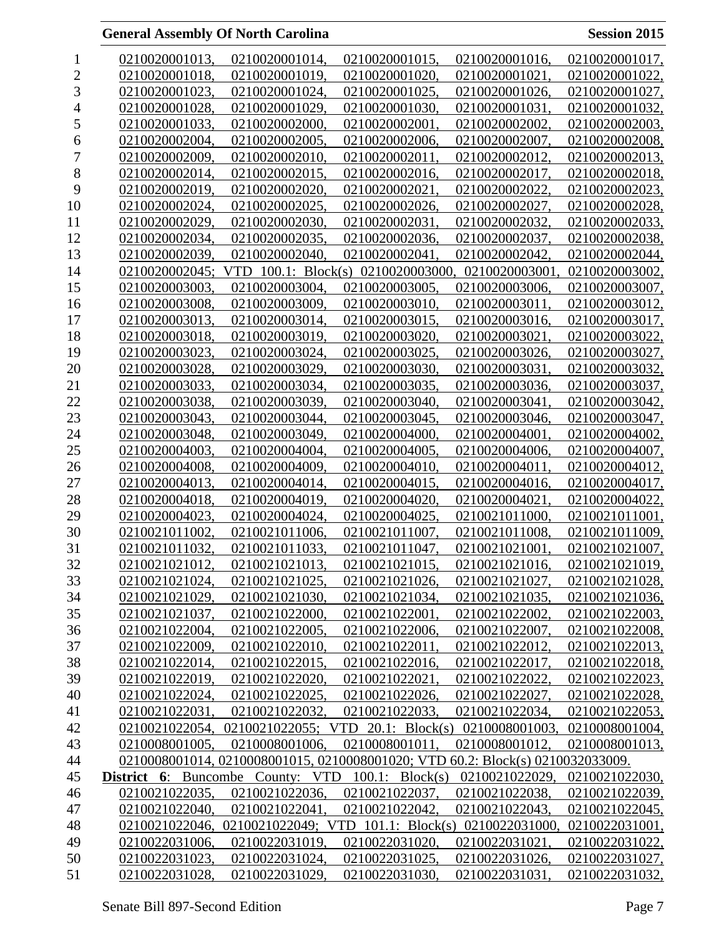| 1              | 0210020001013,                          | 0210020001014,                                                                 | 0210020001015,                                    | 0210020001016, | 0210020001017, |
|----------------|-----------------------------------------|--------------------------------------------------------------------------------|---------------------------------------------------|----------------|----------------|
| $\overline{c}$ | 0210020001018.                          | 0210020001019.                                                                 | 0210020001020,                                    | 0210020001021  | 0210020001022, |
| 3              | 0210020001023.                          | 0210020001024.                                                                 | 0210020001025.                                    | 0210020001026, | 0210020001027, |
| 4              | 0210020001028.                          | 0210020001029,                                                                 | 0210020001030,                                    | 0210020001031, | 0210020001032, |
| 5              | 0210020001033,                          | 0210020002000,                                                                 | 0210020002001,                                    | 0210020002002, | 0210020002003, |
| 6              | 0210020002004,                          | 0210020002005,                                                                 | 0210020002006,                                    | 0210020002007, | 0210020002008, |
| 7              | 0210020002009.                          | 0210020002010                                                                  | 0210020002011                                     | 0210020002012. | 0210020002013, |
| $8\,$          | 0210020002014.                          | 0210020002015.                                                                 | 0210020002016.                                    | 0210020002017. | 0210020002018. |
| 9              | 0210020002019,                          | 0210020002020.                                                                 | 0210020002021,                                    | 0210020002022, | 0210020002023. |
| 10             | 0210020002024,                          | 0210020002025.                                                                 | 0210020002026,                                    | 0210020002027. | 0210020002028, |
| 11             | 0210020002029,                          | 0210020002030,                                                                 | 0210020002031,                                    | 0210020002032, | 0210020002033, |
| 12             | 0210020002034,                          | 0210020002035.                                                                 | 0210020002036,                                    | 0210020002037. | 0210020002038, |
| 13             | 0210020002039.                          | 0210020002040                                                                  | 0210020002041                                     | 0210020002042, | 0210020002044, |
| 14             | 0210020002045;                          | $100.1$ : Block(s)<br>VTD                                                      | 0210020003000.                                    | 0210020003001  | 0210020003002, |
| 15             | 0210020003003.                          | 0210020003004,                                                                 | 0210020003005.                                    | 0210020003006, | 0210020003007, |
| 16             | 0210020003008.                          | 0210020003009,                                                                 | 0210020003010.                                    | 0210020003011, | 0210020003012, |
| 17             | 0210020003013.                          | 0210020003014.                                                                 | 0210020003015,                                    | 0210020003016, | 0210020003017, |
| 18             | 0210020003018.                          | 0210020003019.                                                                 | 0210020003020.                                    | 0210020003021, | 0210020003022, |
| 19             | 0210020003023.                          | 0210020003024,                                                                 | 0210020003025.                                    | 0210020003026, | 0210020003027, |
| 20             | 0210020003028.                          | 0210020003029,                                                                 | 0210020003030,                                    | 0210020003031, | 0210020003032, |
| 21             | 0210020003033,                          | 0210020003034,                                                                 | 0210020003035,                                    | 0210020003036, | 0210020003037, |
| 22             | 0210020003038,                          | 0210020003039,                                                                 | 0210020003040,                                    | 0210020003041  | 0210020003042, |
| 23             | 0210020003043.                          | 0210020003044.                                                                 | 0210020003045.                                    | 0210020003046, | 0210020003047, |
| 24             | 0210020003048.                          | 0210020003049.                                                                 | 0210020004000.                                    | 0210020004001, | 0210020004002. |
| 25             | 0210020004003,                          | 0210020004004,                                                                 | 0210020004005,                                    | 0210020004006, | 0210020004007, |
| 26             | 0210020004008.                          | 0210020004009,                                                                 | 0210020004010,                                    | 0210020004011. | 0210020004012, |
| 27             | 0210020004013.                          | 0210020004014,                                                                 | 0210020004015.                                    | 0210020004016, | 0210020004017, |
| 28             | 0210020004018,                          | 0210020004019.                                                                 | 0210020004020.                                    | 0210020004021  | 0210020004022, |
| 29             | 0210020004023.                          | 0210020004024,                                                                 | 0210020004025,                                    | 0210021011000, | 0210021011001, |
| 30             | 0210021011002.                          | 0210021011006.                                                                 | 0210021011007,                                    | 0210021011008, | 0210021011009, |
| 31             | 0210021011032,                          | 0210021011033,                                                                 | 0210021011047,                                    | 0210021021001, | 0210021021007, |
| 32             | 0210021021012                           | 0210021021013.                                                                 | 0210021021015.                                    | 0210021021016, | 0210021021019, |
| 33             | 0210021021024,                          | 0210021021025,                                                                 | 0210021021026,                                    | 0210021021027, | 0210021021028, |
| 34             | 0210021021029,                          | 0210021021030,                                                                 | 0210021021034.                                    | 0210021021035. | 0210021021036, |
| 35             | 0210021021037,                          | 0210021022000,                                                                 | 0210021022001,                                    | 0210021022002, | 0210021022003, |
| 36             | 0210021022004,                          | 0210021022005,                                                                 | 0210021022006,                                    | 0210021022007, | 0210021022008, |
| 37             | 0210021022009,                          | 0210021022010.                                                                 | 0210021022011,                                    | 0210021022012, | 0210021022013, |
| 38             | 0210021022014,                          | 0210021022015,                                                                 | 0210021022016,                                    | 0210021022017, | 0210021022018, |
| 39             | 0210021022019,                          | 0210021022020.                                                                 | 0210021022021,                                    | 0210021022022, | 0210021022023, |
| 40             | 0210021022024,                          | 0210021022025,                                                                 | 0210021022026,                                    | 0210021022027, | 0210021022028, |
| 41             | 0210021022031,                          | 0210021022032,                                                                 | 0210021022033.                                    | 0210021022034, | 0210021022053, |
| 42             |                                         | 0210021022054, 0210021022055; VTD 20.1: Block(s) 0210008001003,                |                                                   |                | 0210008001004, |
| 43             | 0210008001005,                          | 0210008001006,                                                                 | 0210008001011                                     | 0210008001012, | 0210008001013, |
| 44             |                                         | 0210008001014, 0210008001015, 0210008001020; VTD 60.2: Block(s) 0210032033009. |                                                   |                |                |
| 45             | <b>District 6:</b> Buncombe County: VTD |                                                                                | $100.1$ : Block(s)                                | 0210021022029, | 0210021022030, |
| 46             | 0210021022035,                          | 0210021022036,                                                                 | 0210021022037,                                    | 0210021022038, | 0210021022039, |
| 47             | 0210021022040,                          | 0210021022041,                                                                 | 0210021022042,                                    | 0210021022043, | 0210021022045, |
| 48             | 0210021022046,                          |                                                                                | 0210021022049; VTD 101.1: Block(s) 0210022031000, |                | 0210022031001, |
| 49             | 0210022031006,                          | 0210022031019,                                                                 | 0210022031020,                                    | 0210022031021, | 0210022031022, |
| 50             | 0210022031023,                          | 0210022031024,                                                                 | 0210022031025,                                    | 0210022031026, | 0210022031027, |
| 51             | 0210022031028,                          | 0210022031029,                                                                 | 0210022031030,                                    | 0210022031031, | 0210022031032, |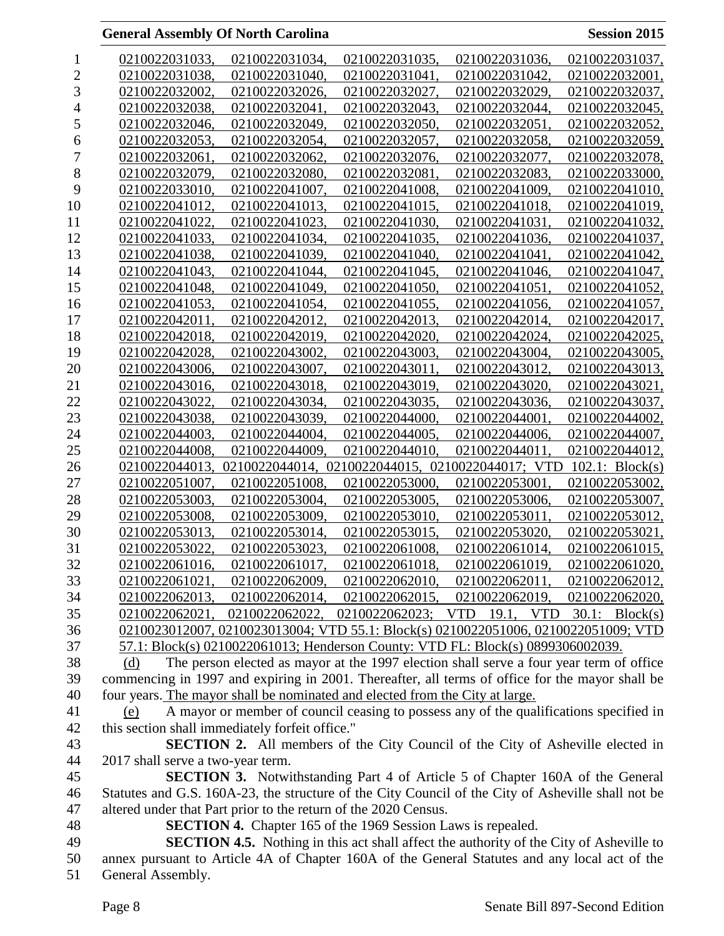|                  | <b>General Assembly Of North Carolina</b>                                                          |                                                                     |                |                                                                                                | <b>Session 2015</b> |
|------------------|----------------------------------------------------------------------------------------------------|---------------------------------------------------------------------|----------------|------------------------------------------------------------------------------------------------|---------------------|
| $\mathbf{1}$     | 0210022031033,                                                                                     | 0210022031034,                                                      | 0210022031035, | 0210022031036,                                                                                 | 0210022031037,      |
| $\sqrt{2}$       | 0210022031038,                                                                                     | 0210022031040,                                                      | 0210022031041, | 0210022031042,                                                                                 | 0210022032001,      |
| 3                | 0210022032002.                                                                                     | 0210022032026,                                                      | 0210022032027. | 0210022032029,                                                                                 | 0210022032037,      |
| $\overline{4}$   | 0210022032038,                                                                                     | 0210022032041,                                                      | 0210022032043, | 0210022032044,                                                                                 | 0210022032045,      |
| 5                | 0210022032046,                                                                                     | 0210022032049,                                                      | 0210022032050, | 0210022032051,                                                                                 | 0210022032052,      |
| $\boldsymbol{6}$ | 0210022032053.                                                                                     | 0210022032054.                                                      | 0210022032057. | 0210022032058.                                                                                 | 0210022032059,      |
| $\overline{7}$   | 0210022032061,                                                                                     | 0210022032062.                                                      | 0210022032076, | 0210022032077,                                                                                 | 0210022032078,      |
| $\, 8$           | 0210022032079,                                                                                     | 0210022032080,                                                      | 0210022032081, | 0210022032083,                                                                                 | 0210022033000,      |
| 9                | 0210022033010,                                                                                     | 0210022041007.                                                      | 0210022041008. | 0210022041009,                                                                                 | 0210022041010,      |
| 10               | 0210022041012,                                                                                     | 0210022041013.                                                      | 0210022041015. | 0210022041018.                                                                                 | 0210022041019,      |
| 11               | 0210022041022,                                                                                     | 0210022041023,                                                      | 0210022041030, | 0210022041031,                                                                                 | 0210022041032,      |
| 12               | 0210022041033,                                                                                     | 0210022041034,                                                      | 0210022041035, | 0210022041036,                                                                                 | 0210022041037,      |
| 13               | 0210022041038,                                                                                     | 0210022041039,                                                      | 0210022041040. | 0210022041041.                                                                                 | 0210022041042,      |
| 14               | 0210022041043,                                                                                     | 0210022041044,                                                      | 0210022041045, | 0210022041046,                                                                                 | 0210022041047,      |
| 15               | 0210022041048,                                                                                     | 0210022041049.                                                      | 0210022041050. | 0210022041051.                                                                                 | 0210022041052,      |
| 16               | 0210022041053.                                                                                     | 0210022041054.                                                      | 0210022041055. | 0210022041056,                                                                                 | 0210022041057,      |
|                  |                                                                                                    |                                                                     | 0210022042013. |                                                                                                |                     |
| 17               | 0210022042011,                                                                                     | 0210022042012,                                                      |                | 0210022042014,                                                                                 | 0210022042017,      |
| 18               | 0210022042018,                                                                                     | 0210022042019,                                                      | 0210022042020, | 0210022042024,                                                                                 | 0210022042025,      |
| 19               | 0210022042028.                                                                                     | 0210022043002.                                                      | 0210022043003. | 0210022043004,                                                                                 | 0210022043005.      |
| 20               | 0210022043006,                                                                                     | 0210022043007,                                                      | 0210022043011, | 0210022043012,                                                                                 | 0210022043013,      |
| 21               | 0210022043016,                                                                                     | 0210022043018,                                                      | 0210022043019, | 0210022043020,                                                                                 | 0210022043021,      |
| 22               | 0210022043022,                                                                                     | 0210022043034,                                                      | 0210022043035, | 0210022043036,                                                                                 | 0210022043037,      |
| 23               | 0210022043038,                                                                                     | 0210022043039,                                                      | 0210022044000. | 0210022044001,                                                                                 | 0210022044002,      |
| 24               | 0210022044003.                                                                                     | 0210022044004,                                                      | 0210022044005. | 0210022044006,                                                                                 | 0210022044007,      |
| 25               | 0210022044008,                                                                                     | 0210022044009,                                                      | 0210022044010, | 0210022044011,                                                                                 | 0210022044012,      |
| 26               | 0210022044013,                                                                                     |                                                                     |                | 0210022044014, 0210022044015, 0210022044017; VTD                                               | 102.1: Block(s)     |
| 27               | 0210022051007,                                                                                     | 0210022051008.                                                      | 0210022053000, | 0210022053001,                                                                                 | 0210022053002,      |
| 28               | 0210022053003,                                                                                     | 0210022053004,                                                      | 0210022053005, | 0210022053006.                                                                                 | 0210022053007,      |
| 29               | 0210022053008,                                                                                     | 0210022053009,                                                      | 0210022053010, | 0210022053011,                                                                                 | 0210022053012,      |
| 30               | 0210022053013,                                                                                     | 0210022053014,                                                      | 0210022053015, | 0210022053020,                                                                                 | 0210022053021,      |
| 31               | 0210022053022.                                                                                     | 0210022053023,                                                      | 0210022061008, | 0210022061014,                                                                                 | 0210022061015,      |
| 32               | 0210022061016,                                                                                     | 0210022061017,                                                      | 0210022061018, | 0210022061019,                                                                                 | 0210022061020,      |
| 33               | 0210022061021,                                                                                     | 0210022062009,                                                      | 0210022062010, | 0210022062011,                                                                                 | 0210022062012,      |
| 34               | 0210022062013,                                                                                     |                                                                     |                | 0210022062014, 0210022062015, 0210022062019, 0210022062020,                                    |                     |
| 35               |                                                                                                    |                                                                     |                | 0210022062021, 0210022062022, 0210022062023; VTD 19.1, VTD 30.1: Block(s)                      |                     |
| 36               |                                                                                                    |                                                                     |                | 0210023012007, 0210023013004; VTD 55.1: Block(s) 0210022051006, 0210022051009; VTD             |                     |
| 37               |                                                                                                    |                                                                     |                | 57.1: Block(s) 0210022061013; Henderson County: VTD FL: Block(s) 0899306002039.                |                     |
| 38               | (d)                                                                                                |                                                                     |                | The person elected as mayor at the 1997 election shall serve a four year term of office        |                     |
| 39               | commencing in 1997 and expiring in 2001. Thereafter, all terms of office for the mayor shall be    |                                                                     |                |                                                                                                |                     |
| 40               | four years. The mayor shall be nominated and elected from the City at large.                       |                                                                     |                |                                                                                                |                     |
| 41               | (e)                                                                                                |                                                                     |                | A mayor or member of council ceasing to possess any of the qualifications specified in         |                     |
| 42               | this section shall immediately forfeit office."                                                    |                                                                     |                |                                                                                                |                     |
| 43               |                                                                                                    |                                                                     |                | <b>SECTION 2.</b> All members of the City Council of the City of Asheville elected in          |                     |
| 44               | 2017 shall serve a two-year term.                                                                  |                                                                     |                |                                                                                                |                     |
| 45               |                                                                                                    |                                                                     |                | <b>SECTION 3.</b> Notwithstanding Part 4 of Article 5 of Chapter 160A of the General           |                     |
| 46               | Statutes and G.S. 160A-23, the structure of the City Council of the City of Asheville shall not be |                                                                     |                |                                                                                                |                     |
| 47               | altered under that Part prior to the return of the 2020 Census.                                    |                                                                     |                |                                                                                                |                     |
| 48               |                                                                                                    | <b>SECTION 4.</b> Chapter 165 of the 1969 Session Laws is repealed. |                |                                                                                                |                     |
| 49               |                                                                                                    |                                                                     |                | <b>SECTION 4.5.</b> Nothing in this act shall affect the authority of the City of Asheville to |                     |
| 50               | annex pursuant to Article 4A of Chapter 160A of the General Statutes and any local act of the      |                                                                     |                |                                                                                                |                     |
| 51               | General Assembly.                                                                                  |                                                                     |                |                                                                                                |                     |
|                  |                                                                                                    |                                                                     |                |                                                                                                |                     |